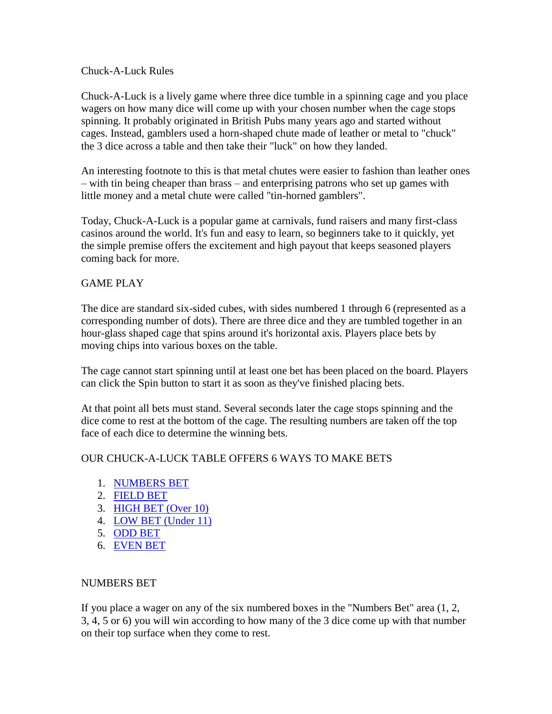### Chuck-A-Luck Rules

Chuck-A-Luck is a lively game where three dice tumble in a spinning cage and you place wagers on how many dice will come up with your chosen number when the cage stops spinning. It probably originated in British Pubs many years ago and started without cages. Instead, gamblers used a horn-shaped chute made of leather or metal to "chuck" the 3 dice across a table and then take their "luck" on how they landed.

An interesting footnote to this is that metal chutes were easier to fashion than leather ones – with tin being cheaper than brass – and enterprising patrons who set up games with little money and a metal chute were called "tin-horned gamblers".

Today, Chuck-A-Luck is a popular game at carnivals, fund raisers and many first-class casinos around the world. It's fun and easy to learn, so beginners take to it quickly, yet the simple premise offers the excitement and high payout that keeps seasoned players coming back for more.

# GAME PLAY

The dice are standard six-sided cubes, with sides numbered 1 through 6 (represented as a corresponding number of dots). There are three dice and they are tumbled together in an hour-glass shaped cage that spins around it's horizontal axis. Players place bets by moving chips into various boxes on the table.

The cage cannot start spinning until at least one bet has been placed on the board. Players can click the Spin button to start it as soon as they've finished placing bets.

At that point all bets must stand. Several seconds later the cage stops spinning and the dice come to rest at the bottom of the cage. The resulting numbers are taken off the top face of each dice to determine the winning bets.

# OUR CHUCK-A-LUCK TABLE OFFERS 6 WAYS TO MAKE BETS

- 1. [NUMBERS BET](http://lotsoluckcasino.com/rules/chuck.htm#NUMBERS)
- 2. [FIELD BET](http://lotsoluckcasino.com/rules/chuck.htm#FIELD)
- 3. [HIGH BET \(Over 10\)](http://lotsoluckcasino.com/rules/chuck.htm#HIGH)
- 4. [LOW BET \(Under 11\)](http://lotsoluckcasino.com/rules/chuck.htm#LOW)
- 5. [ODD BET](http://lotsoluckcasino.com/rules/chuck.htm#ODD)
- 6. [EVEN BET](http://lotsoluckcasino.com/rules/chuck.htm#EVEN)

# NUMBERS BET

If you place a wager on any of the six numbered boxes in the "Numbers Bet" area (1, 2, 3, 4, 5 or 6) you will win according to how many of the 3 dice come up with that number on their top surface when they come to rest.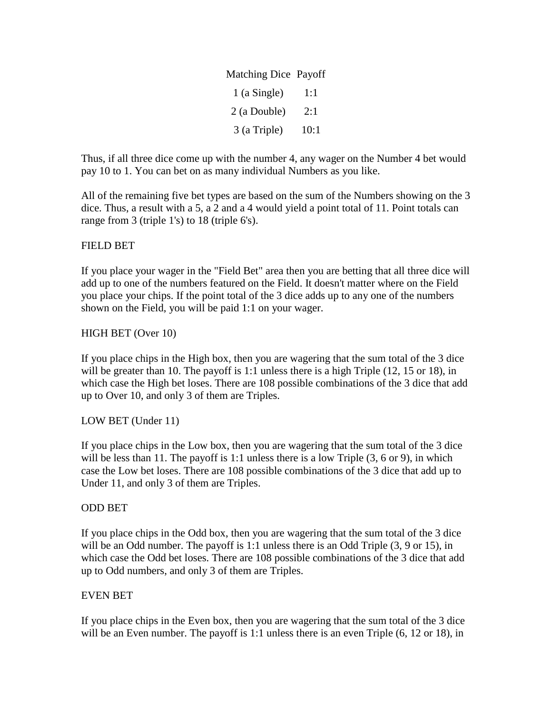| Matching Dice Payoff |      |
|----------------------|------|
| $1$ (a Single)       | 1:1  |
| 2 (a Double)         | 2:1  |
| 3 (a Triple)         | 10:1 |

Thus, if all three dice come up with the number 4, any wager on the Number 4 bet would pay 10 to 1. You can bet on as many individual Numbers as you like.

All of the remaining five bet types are based on the sum of the Numbers showing on the 3 dice. Thus, a result with a 5, a 2 and a 4 would yield a point total of 11. Point totals can range from 3 (triple 1's) to 18 (triple 6's).

# FIELD BET

If you place your wager in the "Field Bet" area then you are betting that all three dice will add up to one of the numbers featured on the Field. It doesn't matter where on the Field you place your chips. If the point total of the 3 dice adds up to any one of the numbers shown on the Field, you will be paid 1:1 on your wager.

### HIGH BET (Over 10)

If you place chips in the High box, then you are wagering that the sum total of the 3 dice will be greater than 10. The payoff is 1:1 unless there is a high Triple (12, 15 or 18), in which case the High bet loses. There are 108 possible combinations of the 3 dice that add up to Over 10, and only 3 of them are Triples.

# LOW BET (Under 11)

If you place chips in the Low box, then you are wagering that the sum total of the 3 dice will be less than 11. The payoff is 1:1 unless there is a low Triple  $(3, 6 \text{ or } 9)$ , in which case the Low bet loses. There are 108 possible combinations of the 3 dice that add up to Under 11, and only 3 of them are Triples.

### ODD BET

If you place chips in the Odd box, then you are wagering that the sum total of the 3 dice will be an Odd number. The payoff is 1:1 unless there is an Odd Triple  $(3, 9 \text{ or } 15)$ , in which case the Odd bet loses. There are 108 possible combinations of the 3 dice that add up to Odd numbers, and only 3 of them are Triples.

# EVEN BET

If you place chips in the Even box, then you are wagering that the sum total of the 3 dice will be an Even number. The payoff is 1:1 unless there is an even Triple  $(6, 12 \text{ or } 18)$ , in